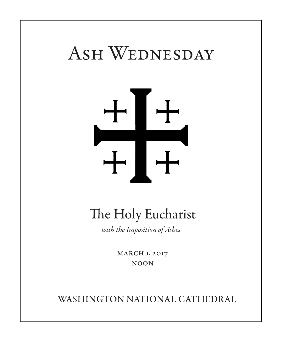# ASH WEDNESDAY



## The Holy Eucharist

*with the Imposition of Ashes*

**MARCH 1, 2017** noon

WASHINGTON NATIONAL CATHEDRAL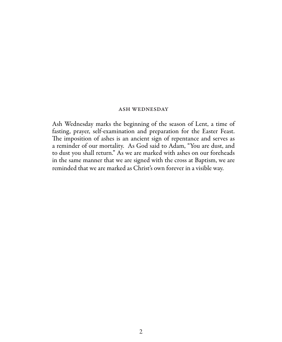#### ash wednesday

Ash Wednesday marks the beginning of the season of Lent, a time of fasting, prayer, self-examination and preparation for the Easter Feast. The imposition of ashes is an ancient sign of repentance and serves as a reminder of our mortality. As God said to Adam, "You are dust, and to dust you shall return." As we are marked with ashes on our foreheads in the same manner that we are signed with the cross at Baptism, we are reminded that we are marked as Christ's own forever in a visible way.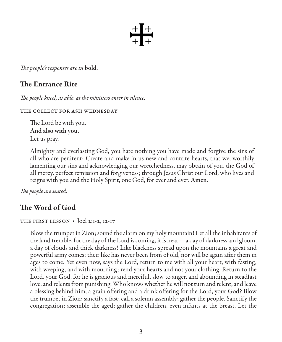

*The people's responses are in* bold.

## The Entrance Rite

*The people kneel, as able, as the ministers enter in silence.*

#### the collect for ash wednesday

The Lord be with you. And also with you. Let us pray.

Almighty and everlasting God, you hate nothing you have made and forgive the sins of all who are penitent: Create and make in us new and contrite hearts, that we, worthily lamenting our sins and acknowledging our wretchedness, may obtain of you, the God of all mercy, perfect remission and forgiveness; through Jesus Christ our Lord, who lives and reigns with you and the Holy Spirit, one God, for ever and ever. Amen.

*The people are seated.*

## The Word of God

```
the first lesson • Joel 2:1-2, 12-17
```
Blow the trumpet in Zion; sound the alarm on my holy mountain! Let all the inhabitants of the land tremble, for the day of the Lord is coming, it is near— a day of darkness and gloom, a day of clouds and thick darkness! Like blackness spread upon the mountains a great and powerful army comes; their like has never been from of old, nor will be again after them in ages to come. Yet even now, says the Lord, return to me with all your heart, with fasting, with weeping, and with mourning; rend your hearts and not your clothing. Return to the Lord, your God, for he is gracious and merciful, slow to anger, and abounding in steadfast love, and relents from punishing. Who knows whether he will not turn and relent, and leave a blessing behind him, a grain offering and a drink offering for the Lord, your God? Blow the trumpet in Zion; sanctify a fast; call a solemn assembly; gather the people. Sanctify the congregation; assemble the aged; gather the children, even infants at the breast. Let the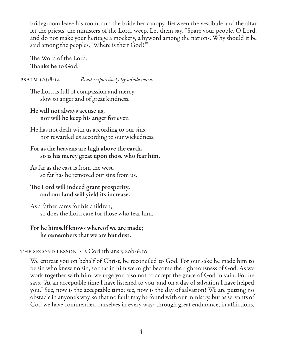bridegroom leave his room, and the bride her canopy. Between the vestibule and the altar let the priests, the ministers of the Lord, weep. Let them say, "Spare your people, O Lord, and do not make your heritage a mockery, a byword among the nations. Why should it be said among the peoples, 'Where is their God?'"

The Word of the Lord. Thanks be to God.

#### psalm 103:8-14 *Read responsively by whole verse.*

The Lord is full of compassion and mercy, slow to anger and of great kindness.

#### He will not always accuse us, nor will he keep his anger for ever.

He has not dealt with us according to our sins, nor rewarded us according to our wickedness.

#### For as the heavens are high above the earth, so is his mercy great upon those who fear him.

As far as the east is from the west, so far has he removed our sins from us.

#### The Lord will indeed grant prosperity, and our land will yield its increase.

As a father cares for his children, so does the Lord care for those who fear him.

#### For he himself knows whereof we are made; he remembers that we are but dust.

#### the second lesson • 2 Corinthians 5:20b-6:10

We entreat you on behalf of Christ, be reconciled to God. For our sake he made him to be sin who knew no sin, so that in him we might become the righteousness of God. As we work together with him, we urge you also not to accept the grace of God in vain. For he says, "At an acceptable time I have listened to you, and on a day of salvation I have helped you." See, now is the acceptable time; see, now is the day of salvation! We are putting no obstacle in anyone's way, so that no fault may be found with our ministry, but as servants of God we have commended ourselves in every way: through great endurance, in afflictions,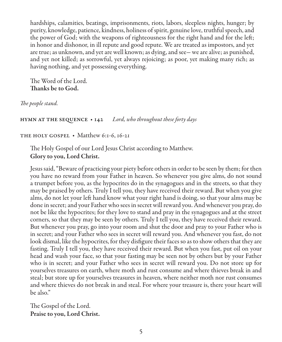hardships, calamities, beatings, imprisonments, riots, labors, sleepless nights, hunger; by purity, knowledge, patience, kindness, holiness of spirit, genuine love, truthful speech, and the power of God; with the weapons of righteousness for the right hand and for the left; in honor and dishonor, in ill repute and good repute. We are treated as impostors, and yet are true; as unknown, and yet are well known; as dying, and see- we are alive; as punished, and yet not killed; as sorrowful, yet always rejoicing; as poor, yet making many rich; as having nothing, and yet possessing everything.

The Word of the Lord. Thanks be to God.

*The people stand.* 

hymn at the sequence • 142 *Lord, who throughout these forty days* 

the holy gospel • Matthew 6:1-6, 16-21

The Holy Gospel of our Lord Jesus Christ according to Matthew. Glory to you, Lord Christ.

Jesus said, "Beware of practicing your piety before others in order to be seen by them; for then you have no reward from your Father in heaven. So whenever you give alms, do not sound a trumpet before you, as the hypocrites do in the synagogues and in the streets, so that they may be praised by others. Truly I tell you, they have received their reward. But when you give alms, do not let your left hand know what your right hand is doing, so that your alms may be done in secret; and your Father who sees in secret will reward you. And whenever you pray, do not be like the hypocrites; for they love to stand and pray in the synagogues and at the street corners, so that they may be seen by others. Truly I tell you, they have received their reward. But whenever you pray, go into your room and shut the door and pray to your Father who is in secret; and your Father who sees in secret will reward you. And whenever you fast, do not look dismal, like the hypocrites, for they disfigure their faces so as to show others that they are fasting. Truly I tell you, they have received their reward. But when you fast, put oil on your head and wash your face, so that your fasting may be seen not by others but by your Father who is in secret; and your Father who sees in secret will reward you. Do not store up for yourselves treasures on earth, where moth and rust consume and where thieves break in and steal; but store up for yourselves treasures in heaven, where neither moth nor rust consumes and where thieves do not break in and steal. For where your treasure is, there your heart will be also."

The Gospel of the Lord. Praise to you, Lord Christ.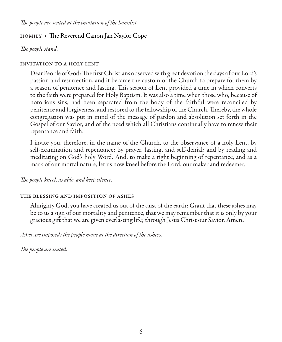*The people are seated at the invitation of the homilist.* 

#### homily • The Reverend Canon Jan Naylor Cope

*The people stand.*

#### invitation to a holy lent

Dear People of God: The first Christians observed with great devotion the days of our Lord's passion and resurrection, and it became the custom of the Church to prepare for them by a season of penitence and fasting. This season of Lent provided a time in which converts to the faith were prepared for Holy Baptism. It was also a time when those who, because of notorious sins, had been separated from the body of the faithful were reconciled by penitence and forgiveness, and restored to the fellowship of the Church. Thereby, the whole congregation was put in mind of the message of pardon and absolution set forth in the Gospel of our Savior, and of the need which all Christians continually have to renew their repentance and faith.

I invite you, therefore, in the name of the Church, to the observance of a holy Lent, by self-examination and repentance; by prayer, fasting, and self-denial; and by reading and meditating on God's holy Word. And, to make a right beginning of repentance, and as a mark of our mortal nature, let us now kneel before the Lord, our maker and redeemer.

#### *The people kneel, as able, and keep silence.*

#### the blessing and imposition of ashes

Almighty God, you have created us out of the dust of the earth: Grant that these ashes may be to us a sign of our mortality and penitence, that we may remember that it is only by your gracious gift that we are given everlasting life; through Jesus Christ our Savior. Amen.

*Ashes are imposed; the people move at the direction of the ushers.* 

*The people are seated.*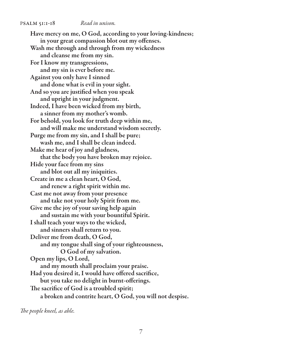Have mercy on me, O God, according to your loving-kindness; in your great compassion blot out my offenses. Wash me through and through from my wickedness and cleanse me from my sin. For I know my transgressions, and my sin is ever before me. Against you only have I sinned and done what is evil in your sight. And so you are justified when you speak and upright in your judgment. Indeed, I have been wicked from my birth, a sinner from my mother's womb. For behold, you look for truth deep within me, and will make me understand wisdom secretly. Purge me from my sin, and I shall be pure; wash me, and I shall be clean indeed. Make me hear of joy and gladness, that the body you have broken may rejoice. Hide your face from my sins and blot out all my iniquities. Create in me a clean heart, O God, and renew a right spirit within me. Cast me not away from your presence and take not your holy Spirit from me. Give me the joy of your saving help again and sustain me with your bountiful Spirit. I shall teach your ways to the wicked, and sinners shall return to you. Deliver me from death, O God, and my tongue shall sing of your righteousness, O God of my salvation. Open my lips, O Lord, and my mouth shall proclaim your praise. Had you desired it, I would have offered sacrifice, but you take no delight in burnt-offerings. The sacrifice of God is a troubled spirit; a broken and contrite heart, O God, you will not despise.

*The people kneel, as able.*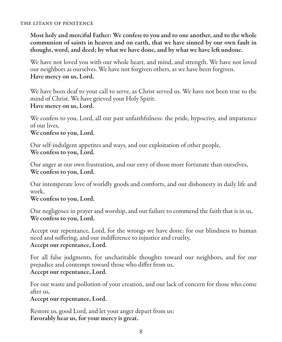#### the litany of penitence

Most holy and merciful Father: We confess to you and to one another, and to the whole communion of saints in heaven and on earth, that we have sinned by our own fault in thought, word, and deed; by what we have done, and by what we have left undone.

We have not loved you with our whole heart, and mind, and strength. We have not loved our neighbors as ourselves. We have not forgiven others, as we have been forgiven. Have mercy on us, Lord.

We have been deaf to your call to serve, as Christ served us. We have not been true to the mind of Christ. We have grieved your Holy Spirit. Have mercy on us, Lord.

We confess to you, Lord, all our past unfaithfulness: the pride, hypocrisy, and impatience of our lives,

We confess to you, Lord.

Our self-indulgent appetites and ways, and our exploitation of other people, We confess to you, Lord.

Our anger at our own frustration, and our envy of those more fortunate than ourselves, We confess to you, Lord.

Our intemperate love of worldly goods and comforts, and our dishonesty in daily life and work,

We confess to you, Lord.

Our negligence in prayer and worship, and our failure to commend the faith that is in us, We confess to you, Lord.

Accept our repentance, Lord, for the wrongs we have done: for our blindness to human need and suffering, and our indifference to injustice and cruelty, Accept our repentance, Lord.

For all false judgments, for uncharitable thoughts toward our neighbors, and for our prejudice and contempt toward those who differ from us, Accept our repentance, Lord.

For our waste and pollution of your creation, and our lack of concern for those who come after us,

Accept our repentance, Lord.

Restore us, good Lord, and let your anger depart from us; Favorably hear us, for your mercy is great.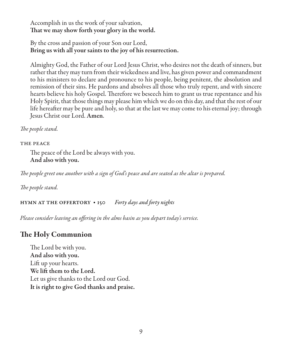Accomplish in us the work of your salvation, That we may show forth your glory in the world.

By the cross and passion of your Son our Lord, Bring us with all your saints to the joy of his resurrection.

Almighty God, the Father of our Lord Jesus Christ, who desires not the death of sinners, but rather that they may turn from their wickedness and live, has given power and commandment to his ministers to declare and pronounce to his people, being penitent, the absolution and remission of their sins. He pardons and absolves all those who truly repent, and with sincere hearts believe his holy Gospel. Therefore we beseech him to grant us true repentance and his Holy Spirit, that those things may please him which we do on this day, and that the rest of our life hereafter may be pure and holy, so that at the last we may come to his eternal joy; through Jesus Christ our Lord. Amen.

*The people stand.* 

THE PEACE

The peace of the Lord be always with you. And also with you.

*The people greet one another with a sign of God's peace and are seated as the altar is prepared.* 

*The people stand.* 

hymn at the offertory • 150 *Forty days and forty nights* 

*Please consider leaving an offering in the alms basin as you depart today's service.* 

### The Holy Communion

The Lord be with you. And also with you. Lift up your hearts. We lift them to the Lord. Let us give thanks to the Lord our God. It is right to give God thanks and praise.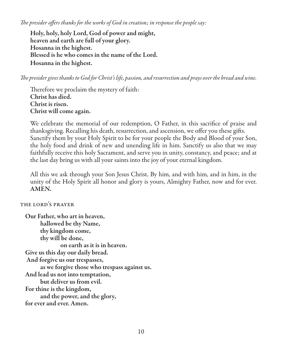*The presider offers thanks for the works of God in creation; in response the people say:*

Holy, holy, holy Lord, God of power and might, heaven and earth are full of your glory. Hosanna in the highest. Blessed is he who comes in the name of the Lord. Hosanna in the highest.

*The presider gives thanks to God for Christ's life, passion, and resurrection and prays over the bread and wine.*

Therefore we proclaim the mystery of faith: Christ has died. Christ is risen. Christ will come again.

We celebrate the memorial of our redemption, O Father, in this sacrifice of praise and thanksgiving. Recalling his death, resurrection, and ascension, we offer you these gifts. Sanctify them by your Holy Spirit to be for your people the Body and Blood of your Son, the holy food and drink of new and unending life in him. Sanctify us also that we may faithfully receive this holy Sacrament, and serve you in unity, constancy, and peace; and at the last day bring us with all your saints into the joy of your eternal kingdom.

All this we ask through your Son Jesus Christ. By him, and with him, and in him, in the unity of the Holy Spirit all honor and glory is yours, Almighty Father, now and for ever. AMEN.

#### the lord's prayer

Our Father, who art in heaven, hallowed be thy Name, thy kingdom come, thy will be done, on earth as it is in heaven. Give us this day our daily bread. And forgive us our trespasses, as we forgive those who trespass against us. And lead us not into temptation, but deliver us from evil. For thine is the kingdom, and the power, and the glory, for ever and ever. Amen.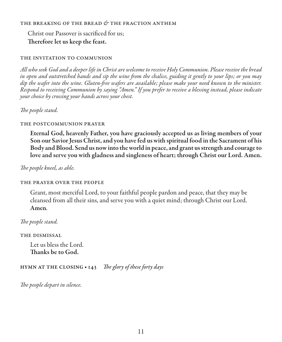#### the breaking of the bread *&* the fraction anthem

Christ our Passover is sacrificed for us; Therefore let us keep the feast.

#### the invitation to communion

*All who seek God and a deeper life in Christ are welcome to receive Holy Communion. Please receive the bread in open and outstretched hands and sip the wine from the chalice, guiding it gently to your lips; or you may dip the wafer into the wine. Gluten-free wafers are available; please make your need known to the minister. Respond to receiving Communion by saying "Amen." If you prefer to receive a blessing instead, please indicate your choice by crossing your hands across your chest.*

*The people stand.*

#### the postcommunion prayer

Eternal God, heavenly Father, you have graciously accepted us as living members of your Son our Savior Jesus Christ, and you have fed us with spiritual food in the Sacrament of his Body and Blood. Send us now into the world in peace, and grant us strength and courage to love and serve you with gladness and singleness of heart; through Christ our Lord. Amen.

*The people kneel, as able.* 

#### the prayer over the people

Grant, most merciful Lord, to your faithful people pardon and peace, that they may be cleansed from all their sins, and serve you with a quiet mind; through Christ our Lord. Amen*.*

*The people stand.* 

THE DISMISSAL

Let us bless the Lord. Thanks be to God.

hymn at the closing • 143 *The glory of these forty days* 

*The people depart in silence.*